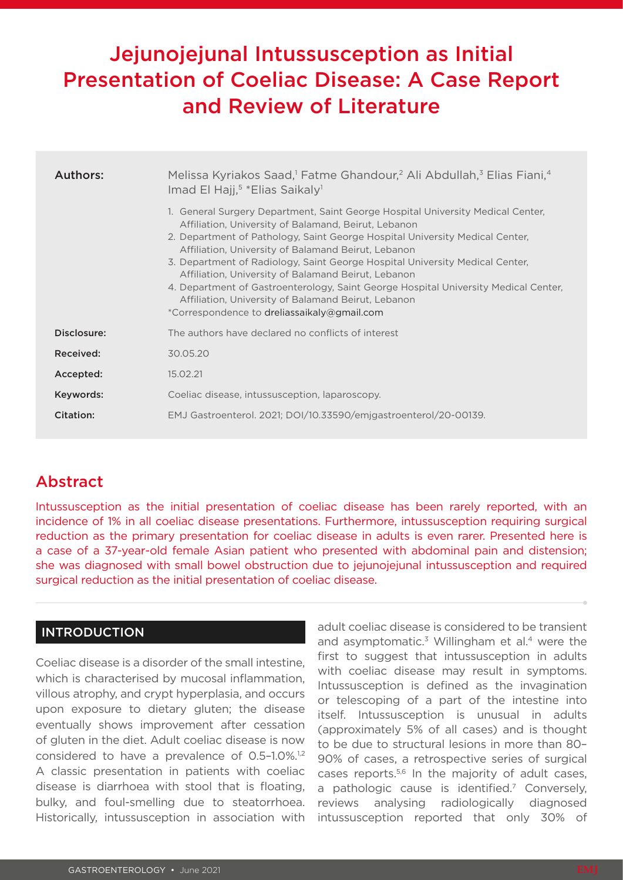# Jejunojejunal Intussusception as Initial Presentation of Coeliac Disease: A Case Report and Review of Literature

| Authors:    | Melissa Kyriakos Saad, <sup>1</sup> Fatme Ghandour, <sup>2</sup> Ali Abdullah, <sup>3</sup> Elias Fiani, <sup>4</sup><br>Imad El Hajj, <sup>5</sup> *Elias Saikaly <sup>1</sup><br>1. General Surgery Department, Saint George Hospital University Medical Center,<br>Affiliation, University of Balamand, Beirut, Lebanon<br>2. Department of Pathology, Saint George Hospital University Medical Center,<br>Affiliation, University of Balamand Beirut, Lebanon<br>3. Department of Radiology, Saint George Hospital University Medical Center,<br>Affiliation, University of Balamand Beirut, Lebanon<br>4. Department of Gastroenterology, Saint George Hospital University Medical Center,<br>Affiliation, University of Balamand Beirut, Lebanon<br>*Correspondence to dreliassaikaly@gmail.com |  |  |  |
|-------------|-------------------------------------------------------------------------------------------------------------------------------------------------------------------------------------------------------------------------------------------------------------------------------------------------------------------------------------------------------------------------------------------------------------------------------------------------------------------------------------------------------------------------------------------------------------------------------------------------------------------------------------------------------------------------------------------------------------------------------------------------------------------------------------------------------|--|--|--|
| Disclosure: | The authors have declared no conflicts of interest                                                                                                                                                                                                                                                                                                                                                                                                                                                                                                                                                                                                                                                                                                                                                    |  |  |  |
| Received:   | 30.05.20                                                                                                                                                                                                                                                                                                                                                                                                                                                                                                                                                                                                                                                                                                                                                                                              |  |  |  |
| Accepted:   | 15.02.21                                                                                                                                                                                                                                                                                                                                                                                                                                                                                                                                                                                                                                                                                                                                                                                              |  |  |  |
| Keywords:   | Coeliac disease, intussusception, laparoscopy.                                                                                                                                                                                                                                                                                                                                                                                                                                                                                                                                                                                                                                                                                                                                                        |  |  |  |
| Citation:   | EMJ Gastroenterol. 2021; DOI/10.33590/emjgastroenterol/20-00139.                                                                                                                                                                                                                                                                                                                                                                                                                                                                                                                                                                                                                                                                                                                                      |  |  |  |

## Abstract

Intussusception as the initial presentation of coeliac disease has been rarely reported, with an incidence of 1% in all coeliac disease presentations. Furthermore, intussusception requiring surgical reduction as the primary presentation for coeliac disease in adults is even rarer. Presented here is a case of a 37-year-old female Asian patient who presented with abdominal pain and distension; she was diagnosed with small bowel obstruction due to jejunojejunal intussusception and required surgical reduction as the initial presentation of coeliac disease.

## INTRODUCTION

Coeliac disease is a disorder of the small intestine, which is characterised by mucosal inflammation, villous atrophy, and crypt hyperplasia, and occurs upon exposure to dietary gluten; the disease eventually shows improvement after cessation of gluten in the diet. Adult coeliac disease is now considered to have a prevalence of 0.5-1.0%.<sup>1,2</sup> A classic presentation in patients with coeliac disease is diarrhoea with stool that is floating, bulky, and foul-smelling due to steatorrhoea. Historically, intussusception in association with

adult coeliac disease is considered to be transient and asymptomatic. $3$  Willingham et al.<sup>4</sup> were the first to suggest that intussusception in adults with coeliac disease may result in symptoms. Intussusception is defined as the invagination or telescoping of a part of the intestine into itself. Intussusception is unusual in adults (approximately 5% of all cases) and is thought to be due to structural lesions in more than 80– 90% of cases, a retrospective series of surgical cases reports.5,6 In the majority of adult cases, a pathologic cause is identified.<sup>7</sup> Conversely, reviews analysing radiologically diagnosed intussusception reported that only 30% of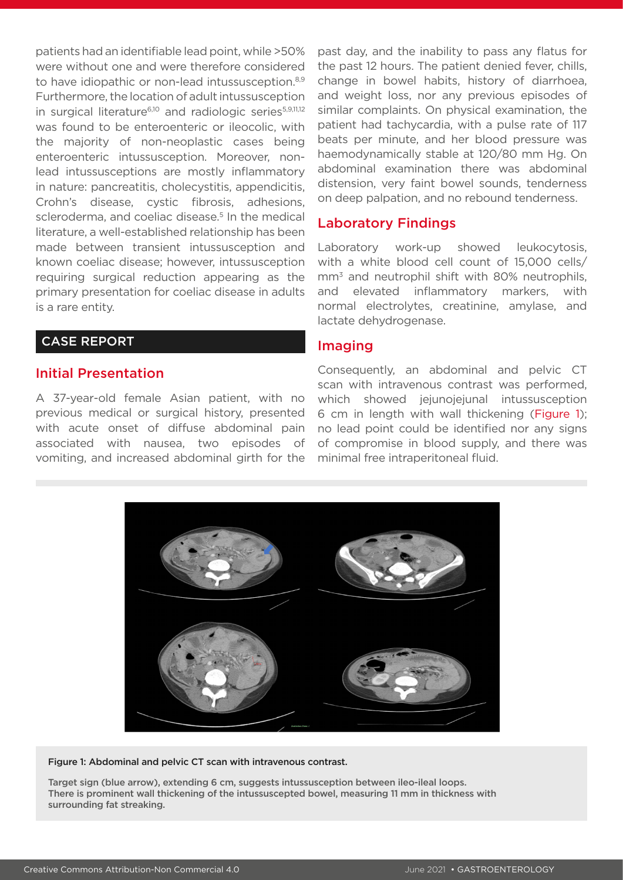patients had an identifiable lead point, while >50% were without one and were therefore considered to have idiopathic or non-lead intussusception.<sup>8,9</sup> Furthermore, the location of adult intussusception in surgical literature<sup>6,10</sup> and radiologic series<sup>5,9,11,12</sup> was found to be enteroenteric or ileocolic, with the majority of non-neoplastic cases being enteroenteric intussusception. Moreover, nonlead intussusceptions are mostly inflammatory in nature: pancreatitis, cholecystitis, appendicitis, Crohn's disease, cystic fibrosis, adhesions, scleroderma, and coeliac disease.<sup>5</sup> In the medical literature, a well-established relationship has been made between transient intussusception and known coeliac disease; however, intussusception requiring surgical reduction appearing as the primary presentation for coeliac disease in adults is a rare entity.

## CASE REPORT

#### Initial Presentation

A 37-year-old female Asian patient, with no previous medical or surgical history, presented with acute onset of diffuse abdominal pain associated with nausea, two episodes of vomiting, and increased abdominal girth for the past day, and the inability to pass any flatus for the past 12 hours. The patient denied fever, chills, change in bowel habits, history of diarrhoea, and weight loss, nor any previous episodes of similar complaints. On physical examination, the patient had tachycardia, with a pulse rate of 117 beats per minute, and her blood pressure was haemodynamically stable at 120/80 mm Hg. On abdominal examination there was abdominal distension, very faint bowel sounds, tenderness on deep palpation, and no rebound tenderness.

## Laboratory Findings

Laboratory work-up showed leukocytosis, with a white blood cell count of 15,000 cells/  $mm<sup>3</sup>$  and neutrophil shift with 80% neutrophils, and elevated inflammatory markers, with normal electrolytes, creatinine, amylase, and lactate dehydrogenase.

#### Imaging

Consequently, an abdominal and pelvic CT scan with intravenous contrast was performed, which showed jejunojejunal intussusception 6 cm in length with wall thickening (Figure 1); no lead point could be identified nor any signs of compromise in blood supply, and there was minimal free intraperitoneal fluid.



Figure 1: Abdominal and pelvic CT scan with intravenous contrast.

Target sign (blue arrow), extending 6 cm, suggests intussusception between ileo-ileal loops. There is prominent wall thickening of the intussuscepted bowel, measuring 11 mm in thickness with surrounding fat streaking.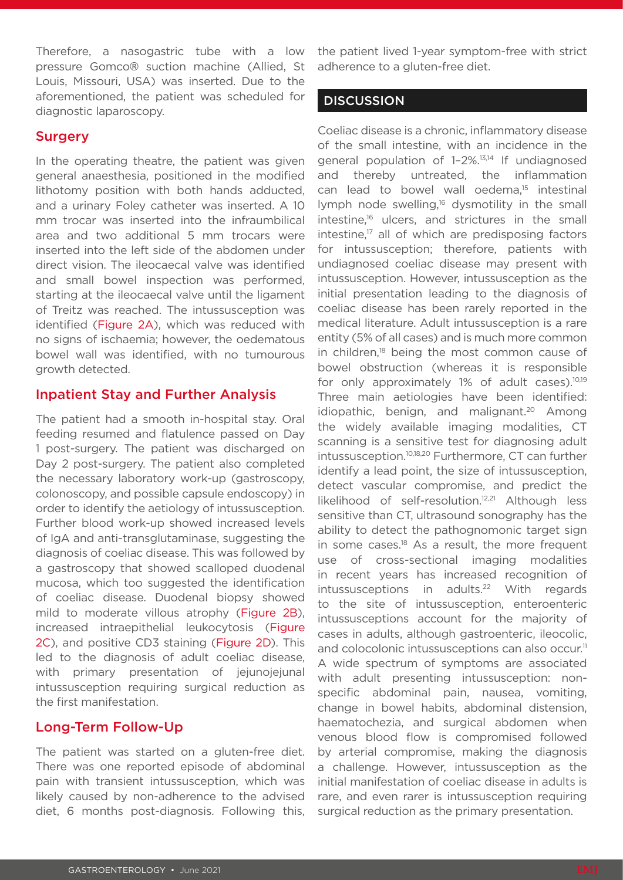Therefore, a nasogastric tube with a low pressure Gomco® suction machine (Allied, St Louis, Missouri, USA) was inserted. Due to the aforementioned, the patient was scheduled for diagnostic laparoscopy.

#### **Surgery**

In the operating theatre, the patient was given general anaesthesia, positioned in the modified lithotomy position with both hands adducted, and a urinary Foley catheter was inserted. A 10 mm trocar was inserted into the infraumbilical area and two additional 5 mm trocars were inserted into the left side of the abdomen under direct vision. The ileocaecal valve was identified and small bowel inspection was performed, starting at the ileocaecal valve until the ligament of Treitz was reached. The intussusception was identified (Figure 2A), which was reduced with no signs of ischaemia; however, the oedematous bowel wall was identified, with no tumourous growth detected.

#### Inpatient Stay and Further Analysis

The patient had a smooth in-hospital stay. Oral feeding resumed and flatulence passed on Day 1 post-surgery. The patient was discharged on Day 2 post-surgery. The patient also completed the necessary laboratory work-up (gastroscopy, colonoscopy, and possible capsule endoscopy) in order to identify the aetiology of intussusception. Further blood work-up showed increased levels of IgA and anti-transglutaminase, suggesting the diagnosis of coeliac disease. This was followed by a gastroscopy that showed scalloped duodenal mucosa, which too suggested the identification of coeliac disease. Duodenal biopsy showed mild to moderate villous atrophy (Figure 2B), increased intraepithelial leukocytosis (Figure 2C), and positive CD3 staining (Figure 2D). This led to the diagnosis of adult coeliac disease, with primary presentation of jejunojejunal intussusception requiring surgical reduction as the first manifestation.

#### Long-Term Follow-Up

The patient was started on a gluten-free diet. There was one reported episode of abdominal pain with transient intussusception, which was likely caused by non-adherence to the advised diet, 6 months post-diagnosis. Following this,

the patient lived 1-year symptom-free with strict adherence to a gluten-free diet.

#### **DISCUSSION**

Coeliac disease is a chronic, inflammatory disease of the small intestine, with an incidence in the general population of 1–2%.13,14 If undiagnosed and thereby untreated, the inflammation can lead to bowel wall oedema.<sup>15</sup> intestinal lymph node swelling,<sup>16</sup> dysmotility in the small intestine,<sup>16</sup> ulcers, and strictures in the small intestine,<sup>17</sup> all of which are predisposing factors for intussusception; therefore, patients with undiagnosed coeliac disease may present with intussusception. However, intussusception as the initial presentation leading to the diagnosis of coeliac disease has been rarely reported in the medical literature. Adult intussusception is a rare entity (5% of all cases) and is much more common in children,18 being the most common cause of bowel obstruction (whereas it is responsible for only approximately 1% of adult cases).<sup>10,19</sup> Three main aetiologies have been identified: idiopathic, benign, and malignant.<sup>20</sup> Among the widely available imaging modalities, CT scanning is a sensitive test for diagnosing adult intussusception.10,18,20 Furthermore, CT can further identify a lead point, the size of intussusception, detect vascular compromise, and predict the likelihood of self-resolution.<sup>12,21</sup> Although less sensitive than CT, ultrasound sonography has the ability to detect the pathognomonic target sign in some cases.<sup>18</sup> As a result, the more frequent use of cross-sectional imaging modalities in recent years has increased recognition of intussusceptions in adults.<sup>22</sup> With regards to the site of intussusception, enteroenteric intussusceptions account for the majority of cases in adults, although gastroenteric, ileocolic, and colocolonic intussusceptions can also occur.<sup>11</sup> A wide spectrum of symptoms are associated with adult presenting intussusception: nonspecific abdominal pain, nausea, vomiting, change in bowel habits, abdominal distension, haematochezia, and surgical abdomen when venous blood flow is compromised followed by arterial compromise, making the diagnosis a challenge. However, intussusception as the initial manifestation of coeliac disease in adults is rare, and even rarer is intussusception requiring surgical reduction as the primary presentation.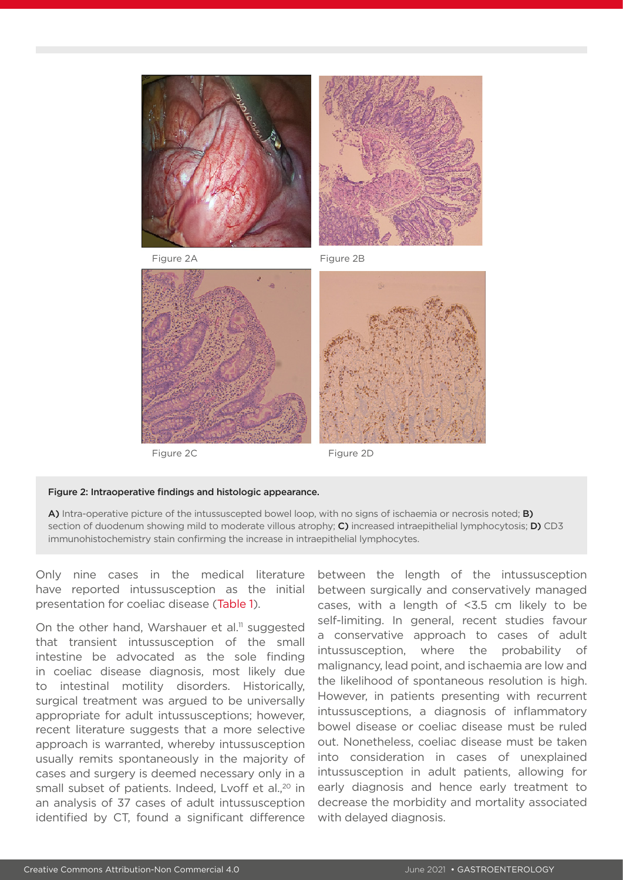



Figure 2A Figure 2B



Figure 2C Figure 2D



#### Figure 2: Intraoperative findings and histologic appearance.

A) Intra-operative picture of the intussuscepted bowel loop, with no signs of ischaemia or necrosis noted; **B)** section of duodenum showing mild to moderate villous atrophy; C) increased intraepithelial lymphocytosis; D) CD3 immunohistochemistry stain confirming the increase in intraepithelial lymphocytes.

Only nine cases in the medical literature have reported intussusception as the initial presentation for coeliac disease (Table 1).

On the other hand, Warshauer et al.<sup>11</sup> suggested that transient intussusception of the small intestine be advocated as the sole finding in coeliac disease diagnosis, most likely due to intestinal motility disorders. Historically, surgical treatment was argued to be universally appropriate for adult intussusceptions; however, recent literature suggests that a more selective approach is warranted, whereby intussusception usually remits spontaneously in the majority of cases and surgery is deemed necessary only in a small subset of patients. Indeed, Lvoff et al.<sup>20</sup> in an analysis of 37 cases of adult intussusception identified by CT, found a significant difference

between the length of the intussusception between surgically and conservatively managed cases, with a length of <3.5 cm likely to be self-limiting. In general, recent studies favour a conservative approach to cases of adult intussusception, where the probability of malignancy, lead point, and ischaemia are low and the likelihood of spontaneous resolution is high. However, in patients presenting with recurrent intussusceptions, a diagnosis of inflammatory bowel disease or coeliac disease must be ruled out. Nonetheless, coeliac disease must be taken into consideration in cases of unexplained intussusception in adult patients, allowing for early diagnosis and hence early treatment to decrease the morbidity and mortality associated with delayed diagnosis.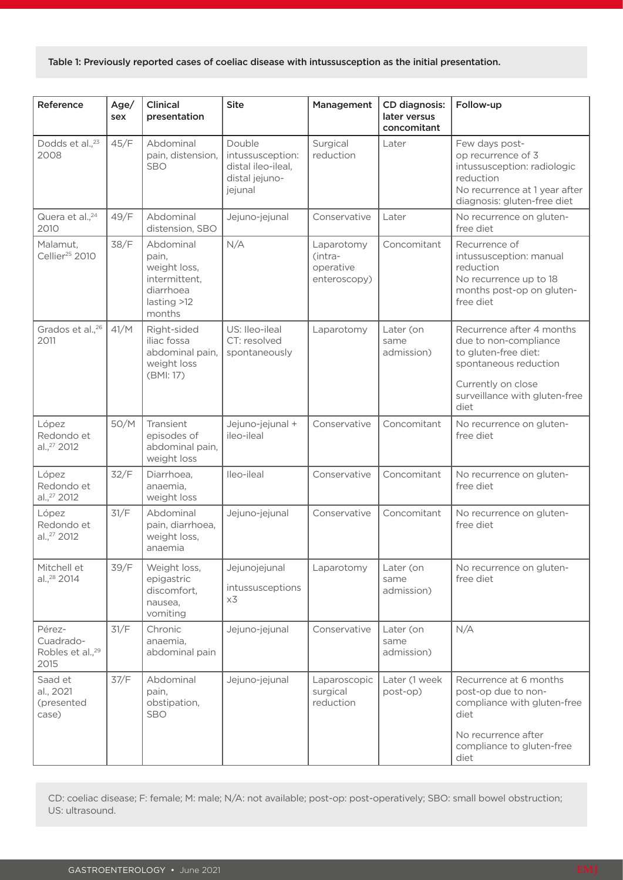#### Table 1: Previously reported cases of coeliac disease with intussusception as the initial presentation.

| Reference                                                   | Age/<br>sex | <b>Clinical</b><br>presentation                                                           | <b>Site</b>                                                                   | Management                                         | CD diagnosis:<br>later versus<br>concomitant | Follow-up                                                                                                                                                          |
|-------------------------------------------------------------|-------------|-------------------------------------------------------------------------------------------|-------------------------------------------------------------------------------|----------------------------------------------------|----------------------------------------------|--------------------------------------------------------------------------------------------------------------------------------------------------------------------|
| Dodds et al., <sup>23</sup><br>2008                         | 45/F        | Abdominal<br>pain, distension,<br><b>SBO</b>                                              | Double<br>intussusception:<br>distal ileo-ileal,<br>distal jejuno-<br>jejunal | Surgical<br>reduction                              | Later                                        | Few days post-<br>op recurrence of 3<br>intussusception: radiologic<br>reduction<br>No recurrence at 1 year after<br>diagnosis: gluten-free diet                   |
| Quera et al., <sup>24</sup><br>2010                         | 49/F        | Abdominal<br>distension, SBO                                                              | Jejuno-jejunal                                                                | Conservative                                       | Later                                        | No recurrence on gluten-<br>free diet                                                                                                                              |
| Malamut,<br>Cellier <sup>25</sup> 2010                      | 38/F        | Abdominal<br>pain,<br>weight loss,<br>intermittent,<br>diarrhoea<br>lasting >12<br>months | N/A                                                                           | Laparotomy<br>(intra-<br>operative<br>enteroscopy) | Concomitant                                  | Recurrence of<br>intussusception: manual<br>reduction<br>No recurrence up to 18<br>months post-op on gluten-<br>free diet                                          |
| Grados et al., <sup>26</sup><br>2011                        | 41/M        | Right-sided<br>iliac fossa<br>abdominal pain,<br>weight loss<br>(BMI: 17)                 | US: Ileo-ileal<br>CT: resolved<br>spontaneously                               | Laparotomy                                         | Later (on<br>same<br>admission)              | Recurrence after 4 months<br>due to non-compliance<br>to gluten-free diet:<br>spontaneous reduction<br>Currently on close<br>surveillance with gluten-free<br>diet |
| López<br>Redondo et<br>al., <sup>27</sup> 2012              | 50/M        | Transient<br>episodes of<br>abdominal pain,<br>weight loss                                | Jejuno-jejunal +<br>ileo-ileal                                                | Conservative                                       | Concomitant                                  | No recurrence on gluten-<br>free diet                                                                                                                              |
| López<br>Redondo et<br>al., <sup>27</sup> 2012              | 32/F        | Diarrhoea,<br>anaemia,<br>weight loss                                                     | Ileo-ileal                                                                    | Conservative                                       | Concomitant                                  | No recurrence on gluten-<br>free diet                                                                                                                              |
| López<br>Redondo et<br>al., <sup>27</sup> 2012              | 31/F        | Abdominal<br>pain, diarrhoea,<br>weight loss,<br>anaemia                                  | Jejuno-jejunal                                                                | Conservative                                       | Concomitant                                  | No recurrence on gluten-<br>free diet                                                                                                                              |
| Mitchell et<br>al., <sup>28</sup> 2014                      | 39/F        | Weight loss,<br>epigastric<br>discomfort,<br>nausea,<br>vomiting                          | Jejunojejunal<br>intussusceptions<br>x3                                       | Laparotomy                                         | Later (on<br>same<br>admission)              | No recurrence on gluten-<br>free diet                                                                                                                              |
| Pérez-<br>Cuadrado-<br>Robles et al., <sup>29</sup><br>2015 | 31/F        | Chronic<br>anaemia,<br>abdominal pain                                                     | Jejuno-jejunal                                                                | Conservative                                       | Later (on<br>same<br>admission)              | N/A                                                                                                                                                                |
| Saad et<br>al., 2021<br>(presented<br>case)                 | 37/F        | Abdominal<br>pain,<br>obstipation,<br>SBO                                                 | Jejuno-jejunal                                                                | Laparoscopic<br>surgical<br>reduction              | Later (1 week<br>post-op)                    | Recurrence at 6 months<br>post-op due to non-<br>compliance with gluten-free<br>diet<br>No recurrence after                                                        |
|                                                             |             |                                                                                           |                                                                               |                                                    |                                              | compliance to gluten-free<br>diet                                                                                                                                  |

CD: coeliac disease; F: female; M: male; N/A: not available; post-op: post-operatively; SBO: small bowel obstruction; US: ultrasound.